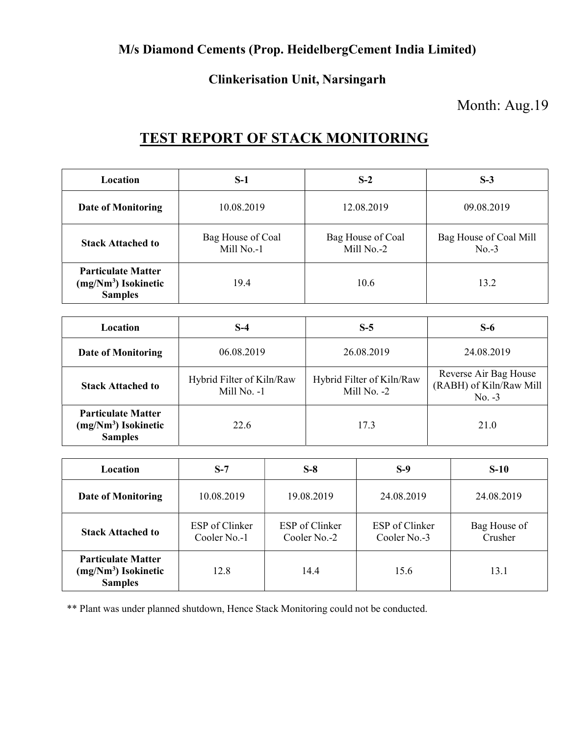### M/s Diamond Cements (Prop. HeidelbergCement India Limited)

#### Clinkerisation Unit, Narsingarh

### Month: Aug.19

# TEST REPORT OF STACK MONITORING

| <b>Location</b>                                                      | $S-1$                           | $S-2$                           | $S-3$                             |
|----------------------------------------------------------------------|---------------------------------|---------------------------------|-----------------------------------|
| <b>Date of Monitoring</b>                                            | 10.08.2019                      | 12.08.2019                      | 09.08.2019                        |
| <b>Stack Attached to</b>                                             | Bag House of Coal<br>Mill No.-1 | Bag House of Coal<br>Mill No.-2 | Bag House of Coal Mill<br>$No.-3$ |
| <b>Particulate Matter</b><br>$(mg/Nm3)$ Isokinetic<br><b>Samples</b> | 19.4                            | 10.6                            | 13.2                              |

| Location                                                             | S-4                                        | $S-5$                                    | $S-6$                                                        |
|----------------------------------------------------------------------|--------------------------------------------|------------------------------------------|--------------------------------------------------------------|
| <b>Date of Monitoring</b>                                            | 06.08.2019                                 | 26.08.2019                               | 24.08.2019                                                   |
| <b>Stack Attached to</b>                                             | Hybrid Filter of Kiln/Raw<br>Mill $No. -1$ | Hybrid Filter of Kiln/Raw<br>Mill No. -2 | Reverse Air Bag House<br>(RABH) of Kiln/Raw Mill<br>$No. -3$ |
| <b>Particulate Matter</b><br>$(mg/Nm3)$ Isokinetic<br><b>Samples</b> | 22.6                                       | 17.3                                     | 21.0                                                         |

| <b>Location</b>                                                      | $S-7$                          | $S-8$                                 | $S-9$                          | $S-10$                  |
|----------------------------------------------------------------------|--------------------------------|---------------------------------------|--------------------------------|-------------------------|
| <b>Date of Monitoring</b>                                            | 10.08.2019                     | 19.08.2019                            | 24.08.2019                     | 24.08.2019              |
| <b>Stack Attached to</b>                                             | ESP of Clinker<br>Cooler No.-1 | <b>ESP</b> of Clinker<br>Cooler No.-2 | ESP of Clinker<br>Cooler No.-3 | Bag House of<br>Crusher |
| <b>Particulate Matter</b><br>$(mg/Nm3)$ Isokinetic<br><b>Samples</b> | 12.8                           | 14.4                                  | 15.6                           | 13.1                    |

\*\* Plant was under planned shutdown, Hence Stack Monitoring could not be conducted.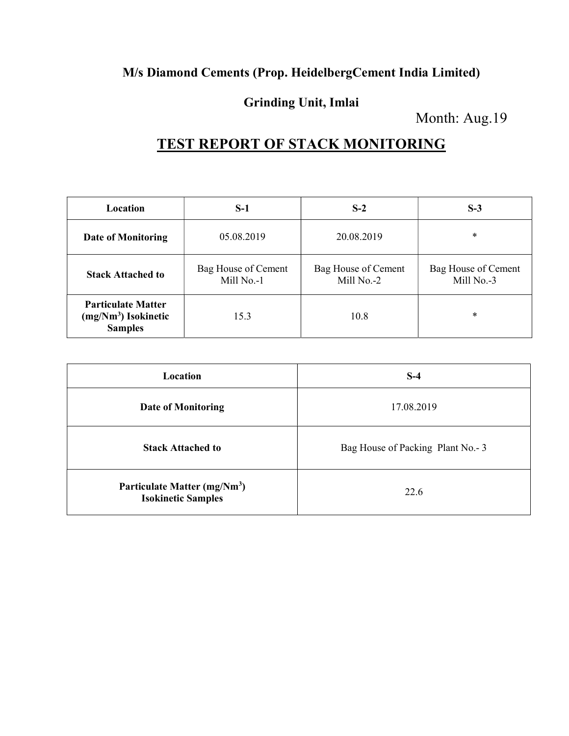### M/s Diamond Cements (Prop. HeidelbergCement India Limited)

### Grinding Unit, Imlai

Month: Aug.19

# TEST REPORT OF STACK MONITORING

| Location                                                             | $S-1$                             | $S-2$                             | $S-3$                             |
|----------------------------------------------------------------------|-----------------------------------|-----------------------------------|-----------------------------------|
| <b>Date of Monitoring</b>                                            | 05.08.2019                        | 20.08.2019                        | $\ast$                            |
| <b>Stack Attached to</b>                                             | Bag House of Cement<br>Mill No.-1 | Bag House of Cement<br>Mill No.-2 | Bag House of Cement<br>Mill No.-3 |
| <b>Particulate Matter</b><br>$(mg/Nm3)$ Isokinetic<br><b>Samples</b> | 15.3                              | 10.8                              | *                                 |

| Location                                                              | $S-4$                            |
|-----------------------------------------------------------------------|----------------------------------|
| <b>Date of Monitoring</b>                                             | 17.08.2019                       |
| <b>Stack Attached to</b>                                              | Bag House of Packing Plant No.-3 |
| Particulate Matter (mg/Nm <sup>3</sup> )<br><b>Isokinetic Samples</b> | 22.6                             |